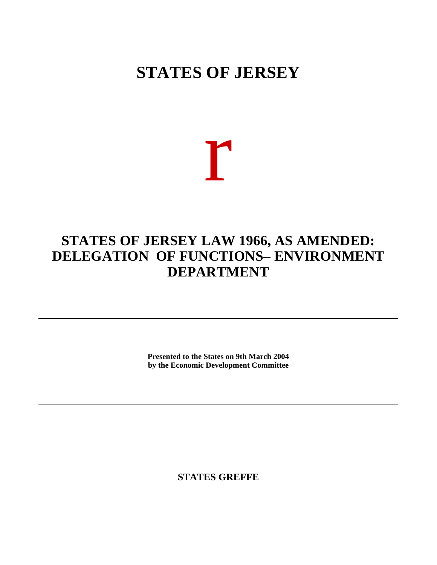## **STATES OF JERSEY**

# r

### **STATES OF JERSEY LAW 1966, AS AMENDED: DELEGATION OF FUNCTIONS– ENVIRONMENT DEPARTMENT**

**Presented to the States on 9th March 2004 by the Economic Development Committee**

**STATES GREFFE**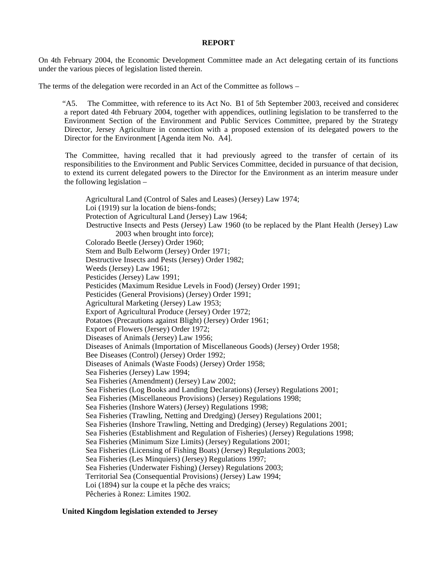#### **REPORT**

On 4th February 2004, the Economic Development Committee made an Act delegating certain of its functions under the various pieces of legislation listed therein.

The terms of the delegation were recorded in an Act of the Committee as follows –

 "A5. The Committee, with reference to its Act No. B1 of 5th September 2003, received and considered a report dated 4th February 2004, together with appendices, outlining legislation to be transferred to the Environment Section of the Environment and Public Services Committee, prepared by the Strategy Director, Jersey Agriculture in connection with a proposed extension of its delegated powers to the Director for the Environment [Agenda item No. A4].

 The Committee, having recalled that it had previously agreed to the transfer of certain of its responsibilities to the Environment and Public Services Committee, decided in pursuance of that decision, to extend its current delegated powers to the Director for the Environment as an interim measure under the following legislation –

 Agricultural Land (Control of Sales and Leases) (Jersey) Law 1974; Loi (1919) sur la location de biens-fonds; Protection of Agricultural Land (Jersey) Law 1964; Destructive Insects and Pests (Jersey) Law 1960 (to be replaced by the Plant Health (Jersey) Law 2003 when brought into force); Colorado Beetle (Jersey) Order 1960; Stem and Bulb Eelworm (Jersey) Order 1971; Destructive Insects and Pests (Jersey) Order 1982; Weeds (Jersey) Law 1961; Pesticides (Jersey) Law 1991; Pesticides (Maximum Residue Levels in Food) (Jersey) Order 1991; Pesticides (General Provisions) (Jersey) Order 1991; Agricultural Marketing (Jersey) Law 1953; Export of Agricultural Produce (Jersey) Order 1972; Potatoes (Precautions against Blight) (Jersey) Order 1961; Export of Flowers (Jersey) Order 1972; Diseases of Animals (Jersey) Law 1956; Diseases of Animals (Importation of Miscellaneous Goods) (Jersey) Order 1958; Bee Diseases (Control) (Jersey) Order 1992; Diseases of Animals (Waste Foods) (Jersey) Order 1958; Sea Fisheries (Jersey) Law 1994; Sea Fisheries (Amendment) (Jersey) Law 2002; Sea Fisheries (Log Books and Landing Declarations) (Jersey) Regulations 2001; Sea Fisheries (Miscellaneous Provisions) (Jersey) Regulations 1998; Sea Fisheries (Inshore Waters) (Jersey) Regulations 1998; Sea Fisheries (Trawling, Netting and Dredging) (Jersey) Regulations 2001; Sea Fisheries (Inshore Trawling, Netting and Dredging) (Jersey) Regulations 2001; Sea Fisheries (Establishment and Regulation of Fisheries) (Jersey) Regulations 1998; Sea Fisheries (Minimum Size Limits) (Jersey) Regulations 2001; Sea Fisheries (Licensing of Fishing Boats) (Jersey) Regulations 2003; Sea Fisheries (Les Minquiers) (Jersey) Regulations 1997; Sea Fisheries (Underwater Fishing) (Jersey) Regulations 2003; Territorial Sea (Consequential Provisions) (Jersey) Law 1994; Loi (1894) sur la coupe et la pêche des vraics; Pêcheries à Ronez: Limites 1902.

#### **United Kingdom legislation extended to Jersey**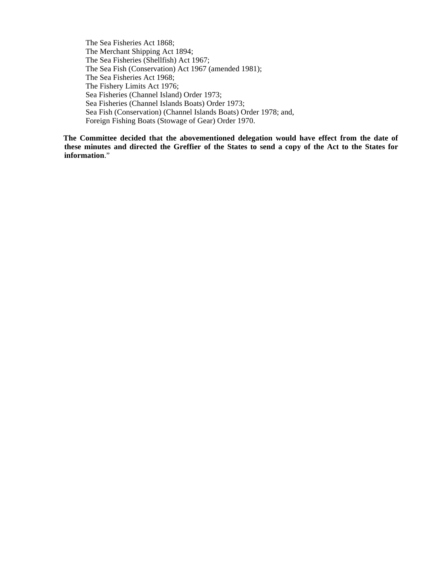The Sea Fisheries Act 1868; The Merchant Shipping Act 1894; The Sea Fisheries (Shellfish) Act 1967; The Sea Fish (Conservation) Act 1967 (amended 1981); The Sea Fisheries Act 1968; The Fishery Limits Act 1976; Sea Fisheries (Channel Island) Order 1973; Sea Fisheries (Channel Islands Boats) Order 1973; Sea Fish (Conservation) (Channel Islands Boats) Order 1978; and, Foreign Fishing Boats (Stowage of Gear) Order 1970.

 **The Committee decided that the abovementioned delegation would have effect from the date of these minutes and directed the Greffier of the States to send a copy of the Act to the States for information**."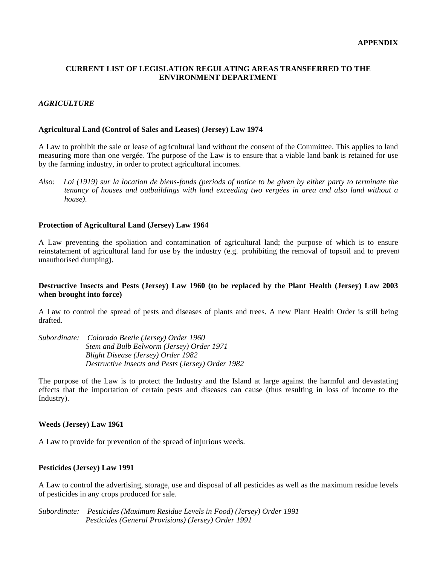#### **CURRENT LIST OF LEGISLATION REGULATING AREAS TRANSFERRED TO THE ENVIRONMENT DEPARTMENT**

#### *AGRICULTURE*

#### **Agricultural Land (Control of Sales and Leases) (Jersey) Law 1974**

A Law to prohibit the sale or lease of agricultural land without the consent of the Committee. This applies to land measuring more than one vergée. The purpose of the Law is to ensure that a viable land bank is retained for use by the farming industry, in order to protect agricultural incomes.

*Also: Loi (1919) sur la location de biens-fonds (periods of notice to be given by either party to terminate the tenancy of houses and outbuildings with land exceeding two vergées in area and also land without a house).*

#### **Protection of Agricultural Land (Jersey) Law 1964**

A Law preventing the spoliation and contamination of agricultural land; the purpose of which is to ensure reinstatement of agricultural land for use by the industry (e.g. prohibiting the removal of topsoil and to prevent unauthorised dumping).

#### **Destructive Insects and Pests (Jersey) Law 1960 (to be replaced by the Plant Health (Jersey) Law 2003 when brought into force)**

A Law to control the spread of pests and diseases of plants and trees. A new Plant Health Order is still being drafted.

*Subordinate: Colorado Beetle (Jersey) Order 1960 Stem and Bulb Eelworm (Jersey) Order 1971 Blight Disease (Jersey) Order 1982 Destructive Insects and Pests (Jersey) Order 1982*

The purpose of the Law is to protect the Industry and the Island at large against the harmful and devastating effects that the importation of certain pests and diseases can cause (thus resulting in loss of income to the Industry).

#### **Weeds (Jersey) Law 1961**

A Law to provide for prevention of the spread of injurious weeds.

#### **Pesticides (Jersey) Law 1991**

A Law to control the advertising, storage, use and disposal of all pesticides as well as the maximum residue levels of pesticides in any crops produced for sale.

*Subordinate: Pesticides (Maximum Residue Levels in Food) (Jersey) Order 1991 Pesticides (General Provisions) (Jersey) Order 1991*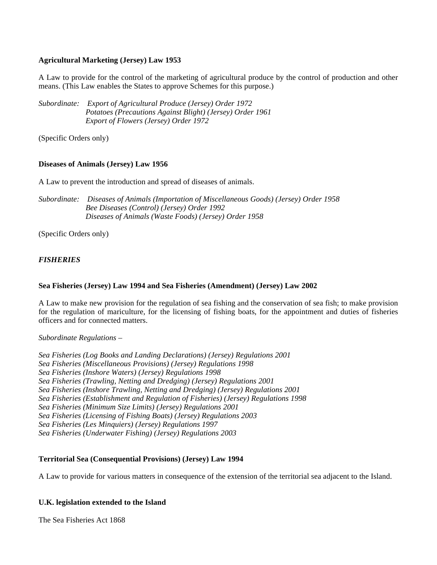#### **Agricultural Marketing (Jersey) Law 1953**

A Law to provide for the control of the marketing of agricultural produce by the control of production and other means. (This Law enables the States to approve Schemes for this purpose.)

*Subordinate: Export of Agricultural Produce (Jersey) Order 1972 Potatoes (Precautions Against Blight) (Jersey) Order 1961 Export of Flowers (Jersey) Order 1972*

(Specific Orders only)

#### **Diseases of Animals (Jersey) Law 1956**

A Law to prevent the introduction and spread of diseases of animals.

*Subordinate: Diseases of Animals (Importation of Miscellaneous Goods) (Jersey) Order 1958 Bee Diseases (Control) (Jersey) Order 1992 Diseases of Animals (Waste Foods) (Jersey) Order 1958*

(Specific Orders only)

#### *FISHERIES*

#### **Sea Fisheries (Jersey) Law 1994 and Sea Fisheries (Amendment) (Jersey) Law 2002**

A Law to make new provision for the regulation of sea fishing and the conservation of sea fish; to make provision for the regulation of mariculture, for the licensing of fishing boats, for the appointment and duties of fisheries officers and for connected matters.

#### *Subordinate Regulations –*

*Sea Fisheries (Log Books and Landing Declarations) (Jersey) Regulations 2001 Sea Fisheries (Miscellaneous Provisions) (Jersey) Regulations 1998 Sea Fisheries (Inshore Waters) (Jersey) Regulations 1998 Sea Fisheries (Trawling, Netting and Dredging) (Jersey) Regulations 2001 Sea Fisheries (Inshore Trawling, Netting and Dredging) (Jersey) Regulations 2001 Sea Fisheries (Establishment and Regulation of Fisheries) (Jersey) Regulations 1998 Sea Fisheries (Minimum Size Limits) (Jersey) Regulations 2001 Sea Fisheries (Licensing of Fishing Boats) (Jersey) Regulations 2003 Sea Fisheries (Les Minquiers) (Jersey) Regulations 1997 Sea Fisheries (Underwater Fishing) (Jersey) Regulations 2003*

#### **Territorial Sea (Consequential Provisions) (Jersey) Law 1994**

A Law to provide for various matters in consequence of the extension of the territorial sea adjacent to the Island.

#### **U.K. legislation extended to the Island**

The Sea Fisheries Act 1868